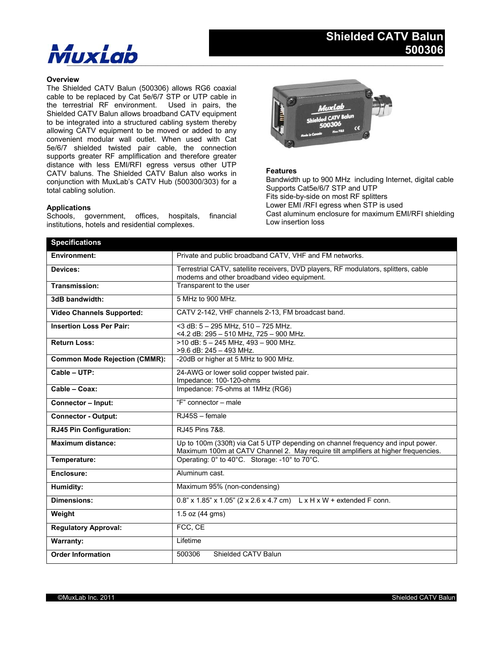# $M$ ux $L$ ab

### **Overview**

The Shielded CATV Balun (500306) allows RG6 coaxial cable to be replaced by Cat 5e/6/7 STP or UTP cable in the terrestrial RF environment. Used in pairs, the Shielded CATV Balun allows broadband CATV equipment to be integrated into a structured cabling system thereby allowing CATV equipment to be moved or added to any convenient modular wall outlet. When used with Cat 5e/6/7 shielded twisted pair cable, the connection supports greater RF ampliflication and therefore greater distance with less EMI/RFI egress versus other UTP CATV baluns. The Shielded CATV Balun also works in conjunction with MuxLab's CATV Hub (500300/303) for a total cabling solution.

### **Applications**

Schools, government, offices, hospitals, financial institutions, hotels and residential complexes.



### **Features**

Bandwidth up to 900 MHz including Internet, digital cable Supports Cat5e/6/7 STP and UTP Fits side-by-side on most RF splitters Lower EMI /RFI egress when STP is used Cast aluminum enclosure for maximum EMI/RFI shielding Low insertion loss

| <b>Specifications</b>                |                                                                                                                                                                        |
|--------------------------------------|------------------------------------------------------------------------------------------------------------------------------------------------------------------------|
| <b>Environment:</b>                  | Private and public broadband CATV, VHF and FM networks.                                                                                                                |
| Devices:                             | Terrestrial CATV, satellite receivers, DVD players, RF modulators, splitters, cable<br>modems and other broadband video equipment.                                     |
| Transmission:                        | Transparent to the user                                                                                                                                                |
| 3dB bandwidth:                       | 5 MHz to 900 MHz.                                                                                                                                                      |
| <b>Video Channels Supported:</b>     | CATV 2-142, VHF channels 2-13, FM broadcast band.                                                                                                                      |
| <b>Insertion Loss Per Pair:</b>      | <3 dB: 5 - 295 MHz, 510 - 725 MHz.<br><4.2 dB: 295 - 510 MHz, 725 - 900 MHz.                                                                                           |
| <b>Return Loss:</b>                  | >10 dB: $5 - 245$ MHz, $493 - 900$ MHz.<br>>9.6 dB: 245 - 493 MHz.                                                                                                     |
| <b>Common Mode Rejection (CMMR):</b> | -20dB or higher at 5 MHz to 900 MHz.                                                                                                                                   |
| Cable - UTP:                         | 24-AWG or lower solid copper twisted pair.<br>Impedance: 100-120-ohms                                                                                                  |
| Cable - Coax:                        | Impedance: 75-ohms at 1MHz (RG6)                                                                                                                                       |
| <b>Connector - Input:</b>            | "F" connector - male                                                                                                                                                   |
| <b>Connector - Output:</b>           | RJ45S - female                                                                                                                                                         |
| RJ45 Pin Configuration:              | RJ45 Pins 7&8.                                                                                                                                                         |
| <b>Maximum distance:</b>             | Up to 100m (330ft) via Cat 5 UTP depending on channel frequency and input power.<br>Maximum 100m at CATV Channel 2. May require tilt amplifiers at higher frequencies. |
| Temperature:                         | Operating: 0° to 40°C. Storage: -10° to 70°C.                                                                                                                          |
| Enclosure:                           | Aluminum cast.                                                                                                                                                         |
| Humidity:                            | Maximum 95% (non-condensing)                                                                                                                                           |
| <b>Dimensions:</b>                   | $0.8$ " x 1.85" x 1.05" (2 x 2.6 x 4.7 cm) L x H x W + extended F conn.                                                                                                |
| Weight                               | $1.5$ oz $(44$ gms)                                                                                                                                                    |
| <b>Regulatory Approval:</b>          | FCC, CE                                                                                                                                                                |
| <b>Warranty:</b>                     | Lifetime                                                                                                                                                               |
| <b>Order Information</b>             | Shielded CATV Balun<br>500306                                                                                                                                          |